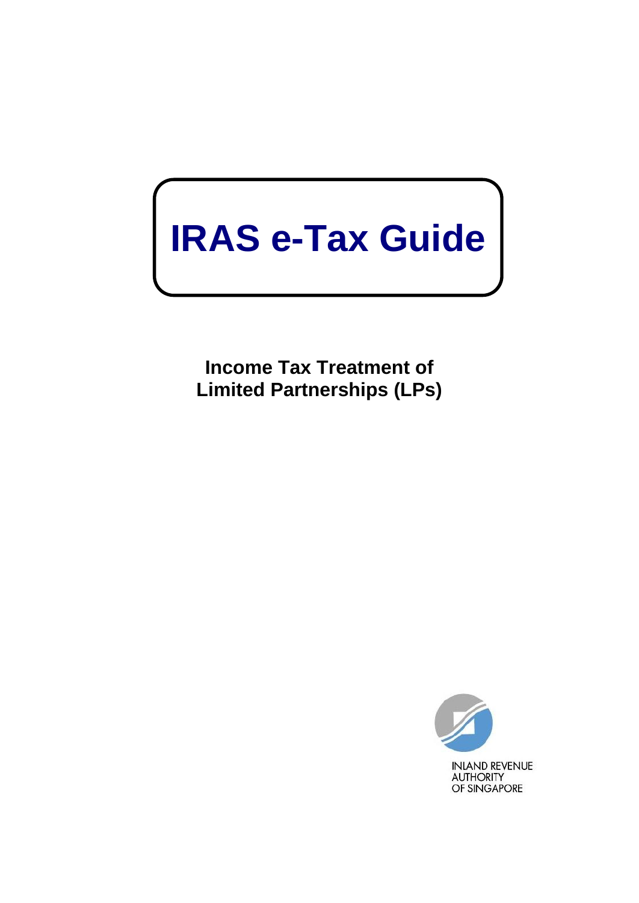# **IRAS e-Tax Guide**

**Income Tax Treatment of Limited Partnerships (LPs)**

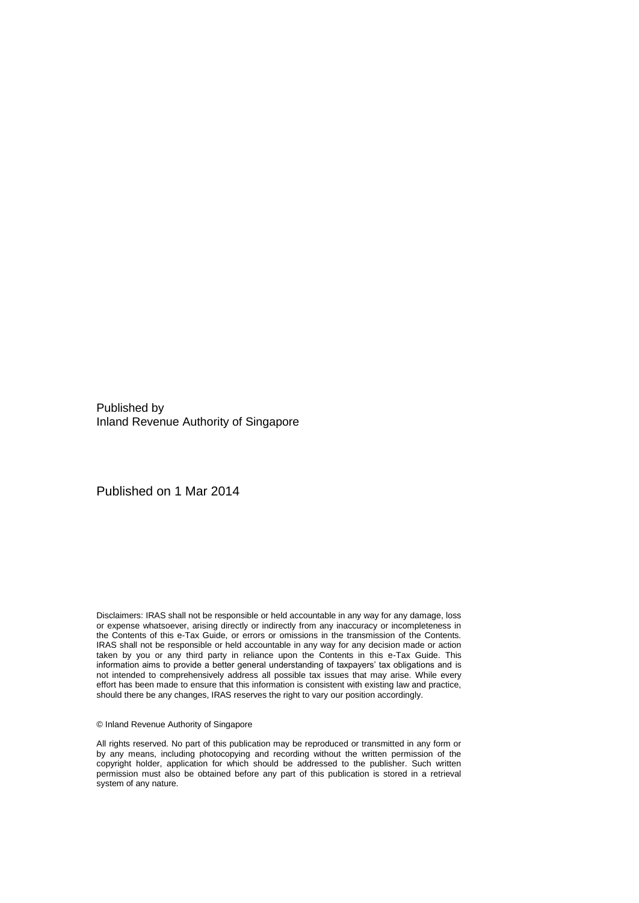Published by Inland Revenue Authority of Singapore

Published on 1 Mar 2014

Disclaimers: IRAS shall not be responsible or held accountable in any way for any damage, loss or expense whatsoever, arising directly or indirectly from any inaccuracy or incompleteness in the Contents of this e-Tax Guide, or errors or omissions in the transmission of the Contents. IRAS shall not be responsible or held accountable in any way for any decision made or action taken by you or any third party in reliance upon the Contents in this e-Tax Guide. This information aims to provide a better general understanding of taxpayers' tax obligations and is not intended to comprehensively address all possible tax issues that may arise. While every effort has been made to ensure that this information is consistent with existing law and practice, should there be any changes, IRAS reserves the right to vary our position accordingly.

#### © Inland Revenue Authority of Singapore

All rights reserved. No part of this publication may be reproduced or transmitted in any form or by any means, including photocopying and recording without the written permission of the copyright holder, application for which should be addressed to the publisher. Such written permission must also be obtained before any part of this publication is stored in a retrieval system of any nature.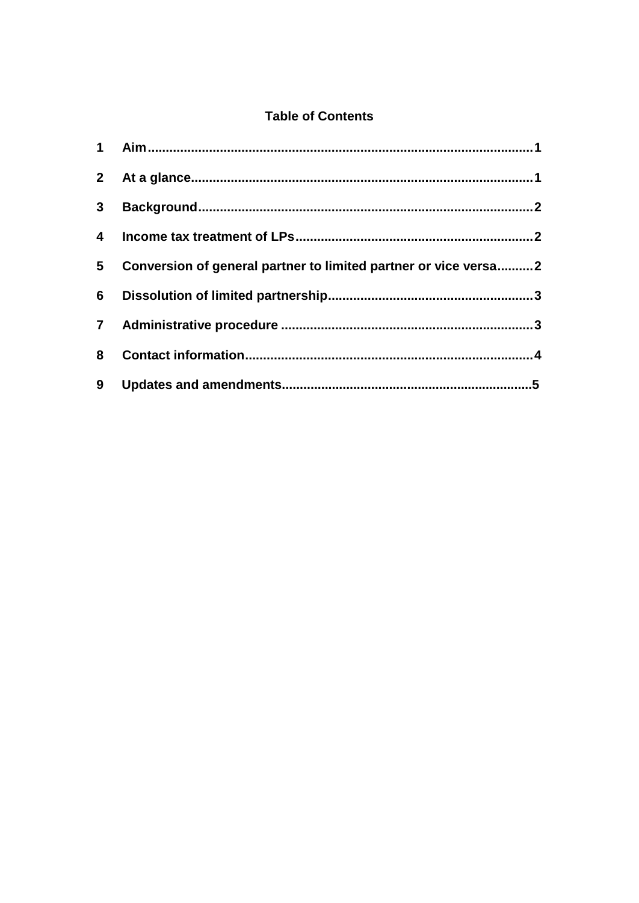### **Table of Contents**

| $\overline{4}$ |                                                                   |  |
|----------------|-------------------------------------------------------------------|--|
|                | 5 Conversion of general partner to limited partner or vice versa2 |  |
|                |                                                                   |  |
|                |                                                                   |  |
| 8              |                                                                   |  |
| 9              |                                                                   |  |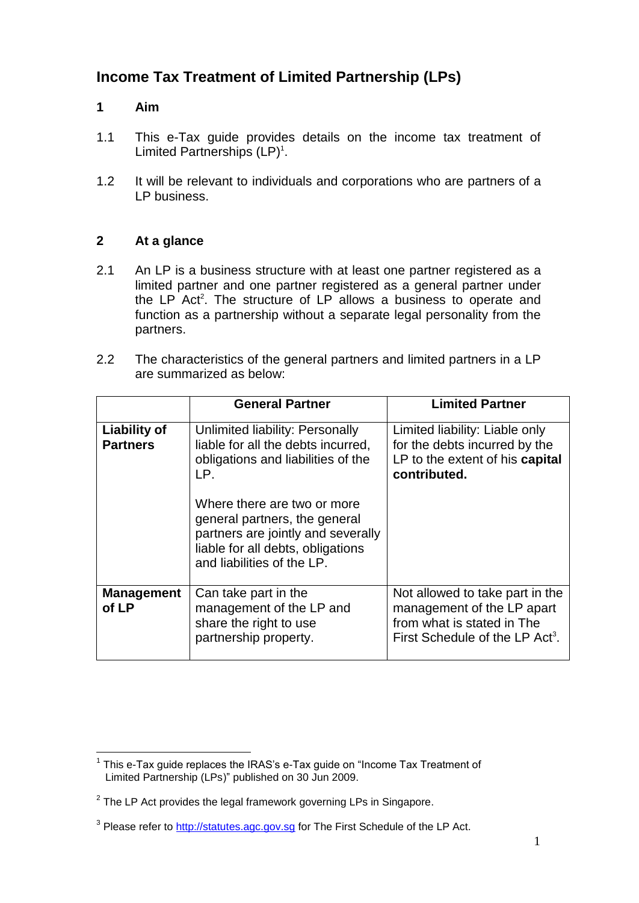## **Income Tax Treatment of Limited Partnership (LPs)**

#### <span id="page-3-0"></span>**1 Aim**

- 1.1 This e-Tax guide provides details on the income tax treatment of Limited Partnerships  $(LP)^1$ .
- 1.2 It will be relevant to individuals and corporations who are partners of a LP business.

#### <span id="page-3-1"></span>**2 At a glance**

- 2.1 An LP is a business structure with at least one partner registered as a limited partner and one partner registered as a general partner under the LP Act<sup>2</sup>. The structure of LP allows a business to operate and function as a partnership without a separate legal personality from the partners.
- 2.2 The characteristics of the general partners and limited partners in a LP are summarized as below:

|                                        | <b>General Partner</b>                                                                                                                                                | <b>Limited Partner</b>                                                                                                                     |
|----------------------------------------|-----------------------------------------------------------------------------------------------------------------------------------------------------------------------|--------------------------------------------------------------------------------------------------------------------------------------------|
| <b>Liability of</b><br><b>Partners</b> | Unlimited liability: Personally<br>liable for all the debts incurred,<br>obligations and liabilities of the<br>LP.                                                    | Limited liability: Liable only<br>for the debts incurred by the<br>LP to the extent of his capital<br>contributed.                         |
|                                        | Where there are two or more<br>general partners, the general<br>partners are jointly and severally<br>liable for all debts, obligations<br>and liabilities of the LP. |                                                                                                                                            |
| <b>Management</b><br>of LP             | Can take part in the<br>management of the LP and<br>share the right to use<br>partnership property.                                                                   | Not allowed to take part in the<br>management of the LP apart<br>from what is stated in The<br>First Schedule of the LP Act <sup>3</sup> . |

<sup>&</sup>lt;u>.</u>  $1$  This e-Tax guide replaces the IRAS's e-Tax guide on "Income Tax Treatment of Limited Partnership (LPs)" published on 30 Jun 2009.

 $2$  The LP Act provides the legal framework governing LPs in Singapore.

<sup>&</sup>lt;sup>3</sup> Please refer to [http://statutes.agc.gov.sg](http://statutes.agc.gov.sg/) for The First Schedule of the LP Act.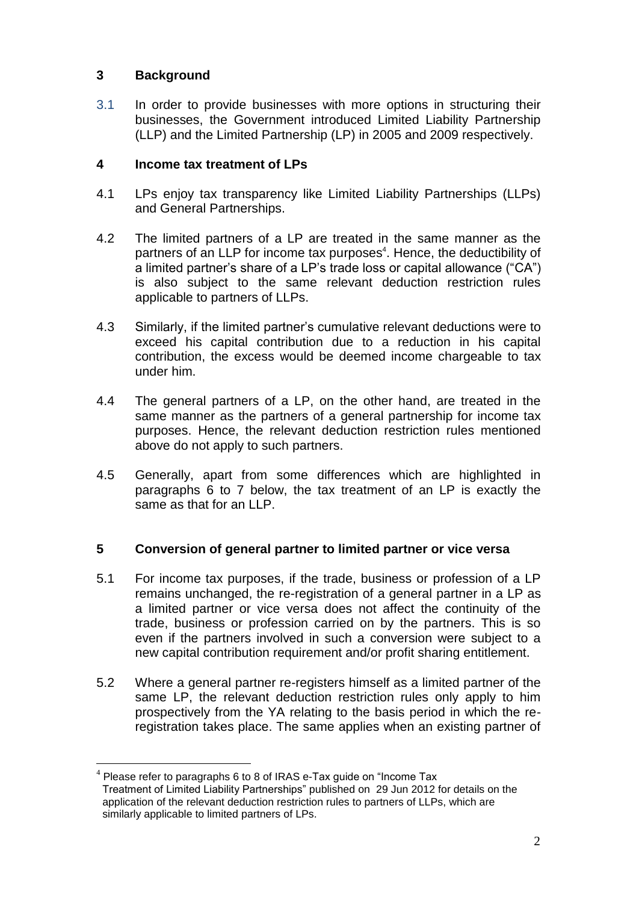#### <span id="page-4-0"></span>**3 Background**

<u>.</u>

3.1 In order to provide businesses with more options in structuring their businesses, the Government introduced Limited Liability Partnership (LLP) and the Limited Partnership (LP) in 2005 and 2009 respectively.

#### <span id="page-4-1"></span>**4 Income tax treatment of LPs**

- 4.1 LPs enjoy tax transparency like Limited Liability Partnerships (LLPs) and General Partnerships.
- 4.2 The limited partners of a LP are treated in the same manner as the partners of an LLP for income tax purposes<sup>4</sup>. Hence, the deductibility of a limited partner's share of a LP's trade loss or capital allowance ("CA") is also subject to the same relevant deduction restriction rules applicable to partners of LLPs.
- 4.3 Similarly, if the limited partner's cumulative relevant deductions were to exceed his capital contribution due to a reduction in his capital contribution, the excess would be deemed income chargeable to tax under him.
- 4.4 The general partners of a LP, on the other hand, are treated in the same manner as the partners of a general partnership for income tax purposes. Hence, the relevant deduction restriction rules mentioned above do not apply to such partners.
- 4.5 Generally, apart from some differences which are highlighted in paragraphs 6 to 7 below, the tax treatment of an LP is exactly the same as that for an LLP.

#### <span id="page-4-2"></span>**5 Conversion of general partner to limited partner or vice versa**

- 5.1 For income tax purposes, if the trade, business or profession of a LP remains unchanged, the re-registration of a general partner in a LP as a limited partner or vice versa does not affect the continuity of the trade, business or profession carried on by the partners. This is so even if the partners involved in such a conversion were subject to a new capital contribution requirement and/or profit sharing entitlement.
- 5.2 Where a general partner re-registers himself as a limited partner of the same LP, the relevant deduction restriction rules only apply to him prospectively from the YA relating to the basis period in which the reregistration takes place. The same applies when an existing partner of

 $4$  Please refer to paragraphs 6 to 8 of IRAS e-Tax guide on "Income Tax Treatment of Limited Liability Partnerships" published on 29 Jun 2012 for details on the application of the relevant deduction restriction rules to partners of LLPs, which are similarly applicable to limited partners of LPs.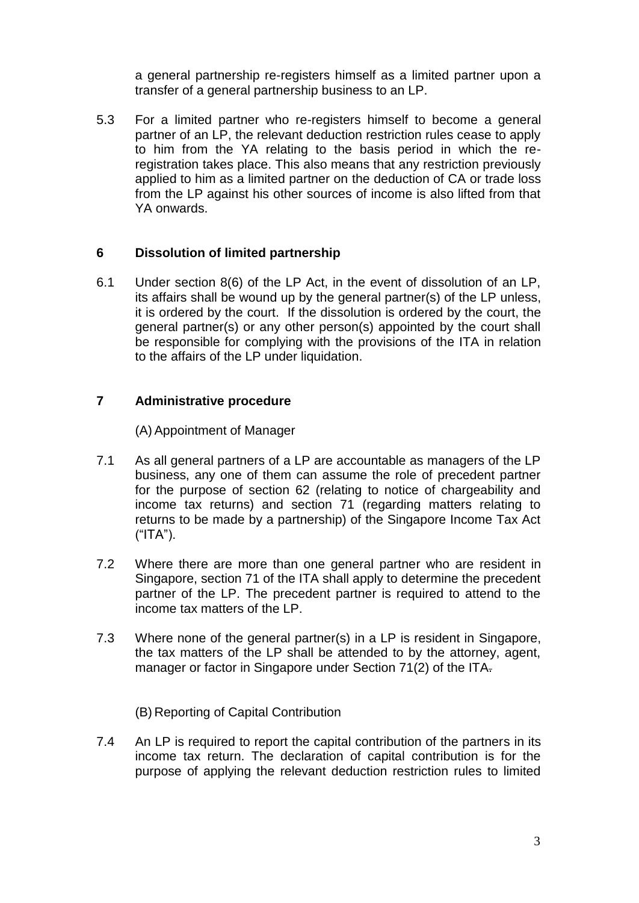a general partnership re-registers himself as a limited partner upon a transfer of a general partnership business to an LP.

5.3 For a limited partner who re-registers himself to become a general partner of an LP, the relevant deduction restriction rules cease to apply to him from the YA relating to the basis period in which the reregistration takes place. This also means that any restriction previously applied to him as a limited partner on the deduction of CA or trade loss from the LP against his other sources of income is also lifted from that YA onwards.

#### <span id="page-5-0"></span>**6 Dissolution of limited partnership**

6.1 Under section 8(6) of the LP Act, in the event of dissolution of an LP, its affairs shall be wound up by the general partner(s) of the LP unless, it is ordered by the court. If the dissolution is ordered by the court, the general partner(s) or any other person(s) appointed by the court shall be responsible for complying with the provisions of the ITA in relation to the affairs of the LP under liquidation.

#### <span id="page-5-1"></span>**7 Administrative procedure**

(A) Appointment of Manager

- 7.1 As all general partners of a LP are accountable as managers of the LP business, any one of them can assume the role of precedent partner for the purpose of section 62 (relating to notice of chargeability and income tax returns) and section 71 (regarding matters relating to returns to be made by a partnership) of the Singapore Income Tax Act  $("ITA").$
- 7.2 Where there are more than one general partner who are resident in Singapore, section 71 of the ITA shall apply to determine the precedent partner of the LP. The precedent partner is required to attend to the income tax matters of the LP.
- 7.3 Where none of the general partner(s) in a LP is resident in Singapore, the tax matters of the LP shall be attended to by the attorney, agent, manager or factor in Singapore under Section 71(2) of the ITA.
	- (B) Reporting of Capital Contribution
- 7.4 An LP is required to report the capital contribution of the partners in its income tax return. The declaration of capital contribution is for the purpose of applying the relevant deduction restriction rules to limited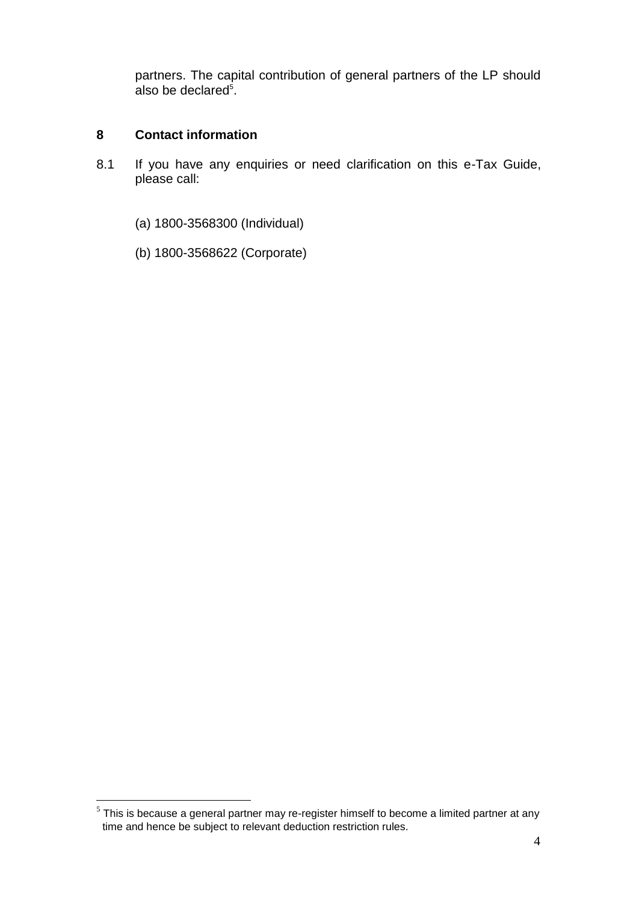partners. The capital contribution of general partners of the LP should also be declared<sup>5</sup>.

#### <span id="page-6-0"></span>**8 Contact information**

- 8.1 If you have any enquiries or need clarification on this e-Tax Guide, please call:
	- (a) 1800-3568300 (Individual)
	- (b) 1800-3568622 (Corporate)

 5 This is because a general partner may re-register himself to become a limited partner at any time and hence be subject to relevant deduction restriction rules.